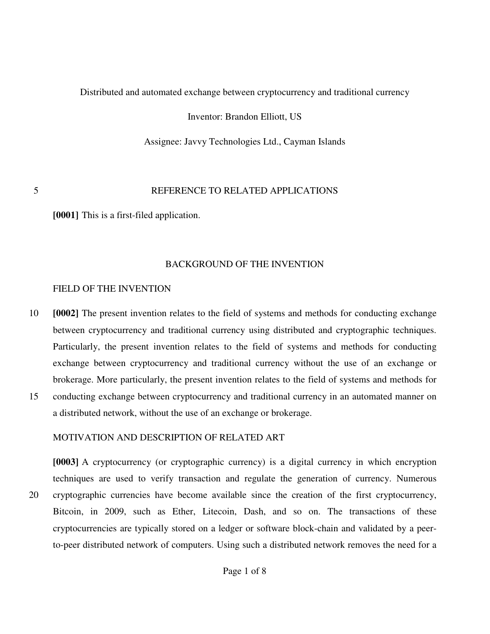## Distributed and automated exchange between cryptocurrency and traditional currency

Inventor: Brandon Elliott, US

Assignee: Javvy Technologies Ltd., Cayman Islands

# 5 REFERENCE TO RELATED APPLICATIONS

**[0001]** This is a first-filed application.

# BACKGROUND OF THE INVENTION

# FIELD OF THE INVENTION

10 **[0002]** The present invention relates to the field of systems and methods for conducting exchange between cryptocurrency and traditional currency using distributed and cryptographic techniques. Particularly, the present invention relates to the field of systems and methods for conducting exchange between cryptocurrency and traditional currency without the use of an exchange or brokerage. More particularly, the present invention relates to the field of systems and methods for 15 conducting exchange between cryptocurrency and traditional currency in an automated manner on

# MOTIVATION AND DESCRIPTION OF RELATED ART

a distributed network, without the use of an exchange or brokerage.

**[0003]** A cryptocurrency (or cryptographic currency) is a digital currency in which encryption techniques are used to verify transaction and regulate the generation of currency. Numerous 20 cryptographic currencies have become available since the creation of the first cryptocurrency, Bitcoin, in 2009, such as Ether, Litecoin, Dash, and so on. The transactions of these cryptocurrencies are typically stored on a ledger or software block-chain and validated by a peerto-peer distributed network of computers. Using such a distributed network removes the need for a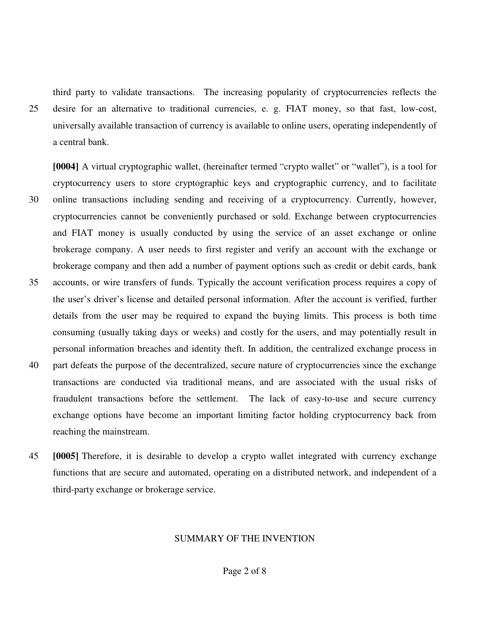third party to validate transactions. The increasing popularity of cryptocurrencies reflects the 25 desire for an alternative to traditional currencies, e. g. FIAT money, so that fast, low-cost, universally available transaction of currency is available to online users, operating independently of a central bank.

**[0004]** A virtual cryptographic wallet, (hereinafter termed "crypto wallet" or "wallet"), is a tool for cryptocurrency users to store cryptographic keys and cryptographic currency, and to facilitate 30 online transactions including sending and receiving of a cryptocurrency. Currently, however, cryptocurrencies cannot be conveniently purchased or sold. Exchange between cryptocurrencies and FIAT money is usually conducted by using the service of an asset exchange or online brokerage company. A user needs to first register and verify an account with the exchange or brokerage company and then add a number of payment options such as credit or debit cards, bank 35 accounts, or wire transfers of funds. Typically the account verification process requires a copy of the user's driver's license and detailed personal information. After the account is verified, further details from the user may be required to expand the buying limits. This process is both time consuming (usually taking days or weeks) and costly for the users, and may potentially result in personal information breaches and identity theft. In addition, the centralized exchange process in 40 part defeats the purpose of the decentralized, secure nature of cryptocurrencies since the exchange transactions are conducted via traditional means, and are associated with the usual risks of fraudulent transactions before the settlement. The lack of easy-to-use and secure currency

- exchange options have become an important limiting factor holding cryptocurrency back from reaching the mainstream.
- 45 **[0005]** Therefore, it is desirable to develop a crypto wallet integrated with currency exchange functions that are secure and automated, operating on a distributed network, and independent of a third-party exchange or brokerage service.

## SUMMARY OF THE INVENTION

Page 2 of 8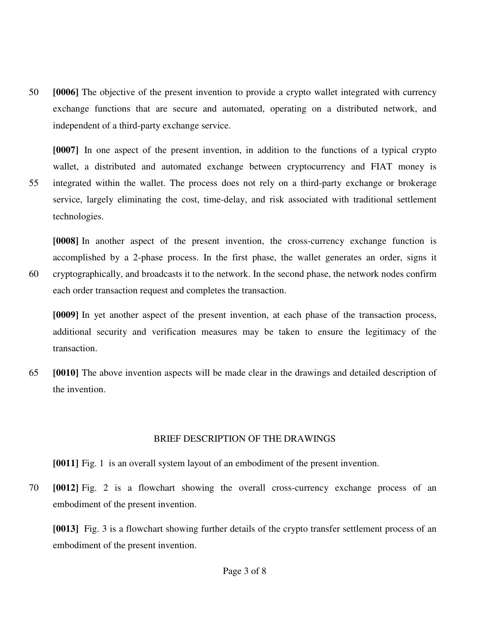50 **[0006]** The objective of the present invention to provide a crypto wallet integrated with currency exchange functions that are secure and automated, operating on a distributed network, and independent of a third-party exchange service.

**[0007]** In one aspect of the present invention, in addition to the functions of a typical crypto wallet, a distributed and automated exchange between cryptocurrency and FIAT money is 55 integrated within the wallet. The process does not rely on a third-party exchange or brokerage service, largely eliminating the cost, time-delay, and risk associated with traditional settlement technologies.

**[0008]** In another aspect of the present invention, the cross-currency exchange function is accomplished by a 2-phase process. In the first phase, the wallet generates an order, signs it 60 cryptographically, and broadcasts it to the network. In the second phase, the network nodes confirm each order transaction request and completes the transaction.

**[0009]** In yet another aspect of the present invention, at each phase of the transaction process, additional security and verification measures may be taken to ensure the legitimacy of the transaction.

65 **[0010]** The above invention aspects will be made clear in the drawings and detailed description of the invention.

### BRIEF DESCRIPTION OF THE DRAWINGS

**[0011]** Fig. 1 is an overall system layout of an embodiment of the present invention.

70 **[0012]** Fig. 2 is a flowchart showing the overall cross-currency exchange process of an embodiment of the present invention.

**[0013]** Fig. 3 is a flowchart showing further details of the crypto transfer settlement process of an embodiment of the present invention.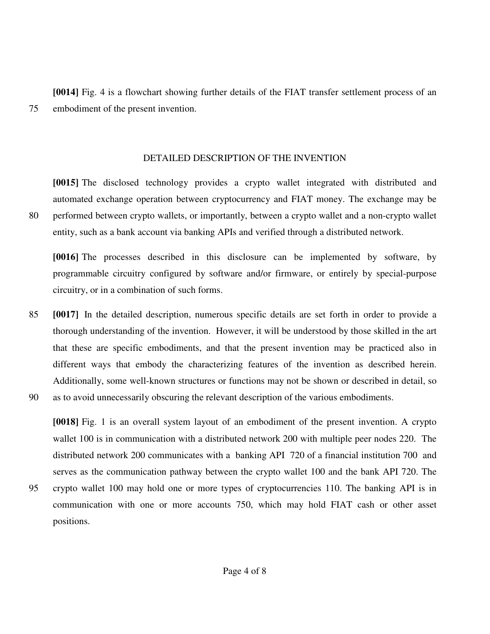**[0014]** Fig. 4 is a flowchart showing further details of the FIAT transfer settlement process of an 75 embodiment of the present invention.

DETAILED DESCRIPTION OF THE INVENTION

**[0015]** The disclosed technology provides a crypto wallet integrated with distributed and automated exchange operation between cryptocurrency and FIAT money. The exchange may be 80 performed between crypto wallets, or importantly, between a crypto wallet and a non-crypto wallet entity, such as a bank account via banking APIs and verified through a distributed network.

**[0016]** The processes described in this disclosure can be implemented by software, by programmable circuitry configured by software and/or firmware, or entirely by special-purpose circuitry, or in a combination of such forms.

85 **[0017]** In the detailed description, numerous specific details are set forth in order to provide a thorough understanding of the invention. However, it will be understood by those skilled in the art that these are specific embodiments, and that the present invention may be practiced also in different ways that embody the characterizing features of the invention as described herein. Additionally, some well-known structures or functions may not be shown or described in detail, so 90 as to avoid unnecessarily obscuring the relevant description of the various embodiments.

**[0018]** Fig. 1 is an overall system layout of an embodiment of the present invention. A crypto wallet 100 is in communication with a distributed network 200 with multiple peer nodes 220. The distributed network 200 communicates with a banking API 720 of a financial institution 700 and serves as the communication pathway between the crypto wallet 100 and the bank API 720. The 95 crypto wallet 100 may hold one or more types of cryptocurrencies 110. The banking API is in

- communication with one or more accounts 750, which may hold FIAT cash or other asset positions.
	- Page 4 of 8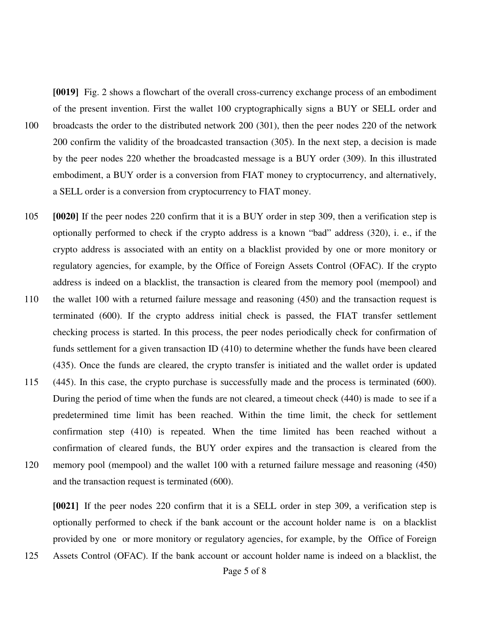**[0019]** Fig. 2 shows a flowchart of the overall cross-currency exchange process of an embodiment of the present invention. First the wallet 100 cryptographically signs a BUY or SELL order and 100 broadcasts the order to the distributed network 200 (301), then the peer nodes 220 of the network 200 confirm the validity of the broadcasted transaction (305). In the next step, a decision is made by the peer nodes 220 whether the broadcasted message is a BUY order (309). In this illustrated embodiment, a BUY order is a conversion from FIAT money to cryptocurrency, and alternatively, a SELL order is a conversion from cryptocurrency to FIAT money.

- 105 **[0020]** If the peer nodes 220 confirm that it is a BUY order in step 309, then a verification step is optionally performed to check if the crypto address is a known "bad" address (320), i. e., if the crypto address is associated with an entity on a blacklist provided by one or more monitory or regulatory agencies, for example, by the Office of Foreign Assets Control (OFAC). If the crypto address is indeed on a blacklist, the transaction is cleared from the memory pool (mempool) and 110 the wallet 100 with a returned failure message and reasoning (450) and the transaction request is
- terminated (600). If the crypto address initial check is passed, the FIAT transfer settlement checking process is started. In this process, the peer nodes periodically check for confirmation of funds settlement for a given transaction ID (410) to determine whether the funds have been cleared (435). Once the funds are cleared, the crypto transfer is initiated and the wallet order is updated
- 115 (445). In this case, the crypto purchase is successfully made and the process is terminated (600). During the period of time when the funds are not cleared, a timeout check (440) is made to see if a predetermined time limit has been reached. Within the time limit, the check for settlement confirmation step (410) is repeated. When the time limited has been reached without a confirmation of cleared funds, the BUY order expires and the transaction is cleared from the 120 memory pool (mempool) and the wallet 100 with a returned failure message and reasoning (450) and the transaction request is terminated (600).

**[0021]** If the peer nodes 220 confirm that it is a SELL order in step 309, a verification step is optionally performed to check if the bank account or the account holder name is on a blacklist provided by one or more monitory or regulatory agencies, for example, by the Office of Foreign

125 Assets Control (OFAC). If the bank account or account holder name is indeed on a blacklist, the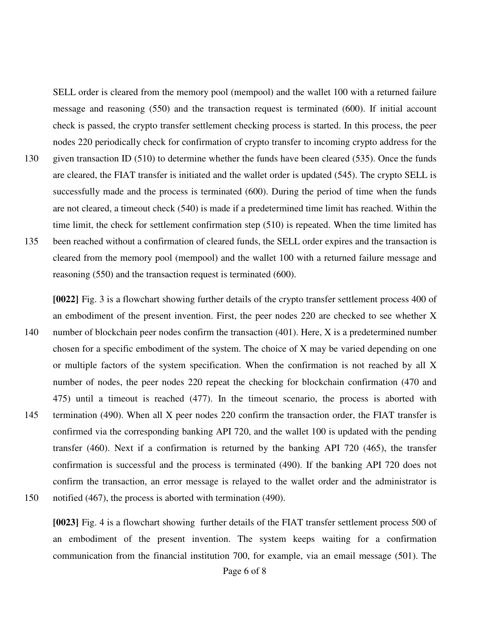SELL order is cleared from the memory pool (mempool) and the wallet 100 with a returned failure message and reasoning (550) and the transaction request is terminated (600). If initial account check is passed, the crypto transfer settlement checking process is started. In this process, the peer nodes 220 periodically check for confirmation of crypto transfer to incoming crypto address for the

130 given transaction ID (510) to determine whether the funds have been cleared (535). Once the funds are cleared, the FIAT transfer is initiated and the wallet order is updated (545). The crypto SELL is successfully made and the process is terminated (600). During the period of time when the funds are not cleared, a timeout check (540) is made if a predetermined time limit has reached. Within the time limit, the check for settlement confirmation step (510) is repeated. When the time limited has 135 been reached without a confirmation of cleared funds, the SELL order expires and the transaction is cleared from the memory pool (mempool) and the wallet 100 with a returned failure message and

reasoning (550) and the transaction request is terminated (600).

**[0022]** Fig. 3 is a flowchart showing further details of the crypto transfer settlement process 400 of an embodiment of the present invention. First, the peer nodes 220 are checked to see whether X 140 number of blockchain peer nodes confirm the transaction (401). Here, X is a predetermined number chosen for a specific embodiment of the system. The choice of X may be varied depending on one or multiple factors of the system specification. When the confirmation is not reached by all X number of nodes, the peer nodes 220 repeat the checking for blockchain confirmation (470 and 475) until a timeout is reached (477). In the timeout scenario, the process is aborted with 145 termination (490). When all X peer nodes 220 confirm the transaction order, the FIAT transfer is confirmed via the corresponding banking API 720, and the wallet 100 is updated with the pending transfer (460). Next if a confirmation is returned by the banking API 720 (465), the transfer confirmation is successful and the process is terminated (490). If the banking API 720 does not confirm the transaction, an error message is relayed to the wallet order and the administrator is 150 notified (467), the process is aborted with termination (490).

**[0023]** Fig. 4 is a flowchart showing further details of the FIAT transfer settlement process 500 of an embodiment of the present invention. The system keeps waiting for a confirmation communication from the financial institution 700, for example, via an email message (501). The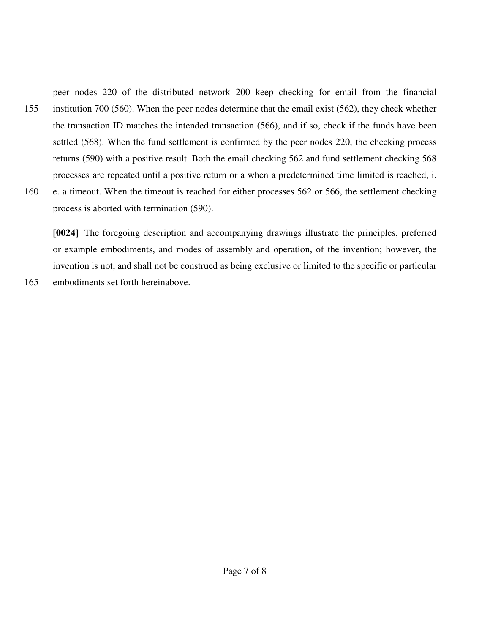peer nodes 220 of the distributed network 200 keep checking for email from the financial 155 institution 700 (560). When the peer nodes determine that the email exist (562), they check whether the transaction ID matches the intended transaction (566), and if so, check if the funds have been settled (568). When the fund settlement is confirmed by the peer nodes 220, the checking process returns (590) with a positive result. Both the email checking 562 and fund settlement checking 568 processes are repeated until a positive return or a when a predetermined time limited is reached, i. 160 e. a timeout. When the timeout is reached for either processes 562 or 566, the settlement checking process is aborted with termination (590).

**[0024]** The foregoing description and accompanying drawings illustrate the principles, preferred or example embodiments, and modes of assembly and operation, of the invention; however, the invention is not, and shall not be construed as being exclusive or limited to the specific or particular

165 embodiments set forth hereinabove.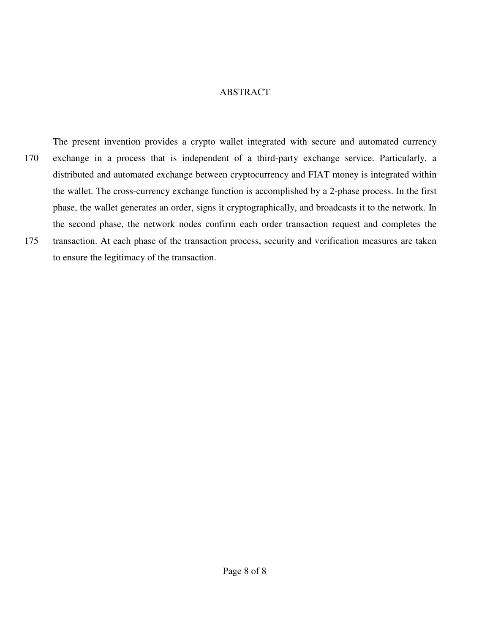### ABSTRACT

The present invention provides a crypto wallet integrated with secure and automated currency 170 exchange in a process that is independent of a third-party exchange service. Particularly, a distributed and automated exchange between cryptocurrency and FIAT money is integrated within the wallet. The cross-currency exchange function is accomplished by a 2-phase process. In the first phase, the wallet generates an order, signs it cryptographically, and broadcasts it to the network. In the second phase, the network nodes confirm each order transaction request and completes the 175 transaction. At each phase of the transaction process, security and verification measures are taken to ensure the legitimacy of the transaction.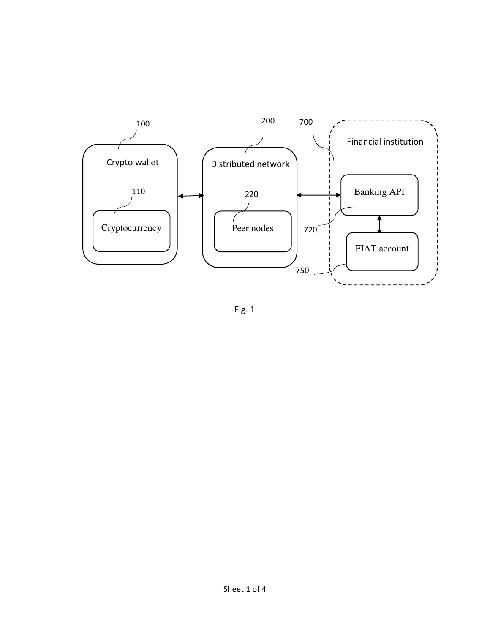

Fig. 1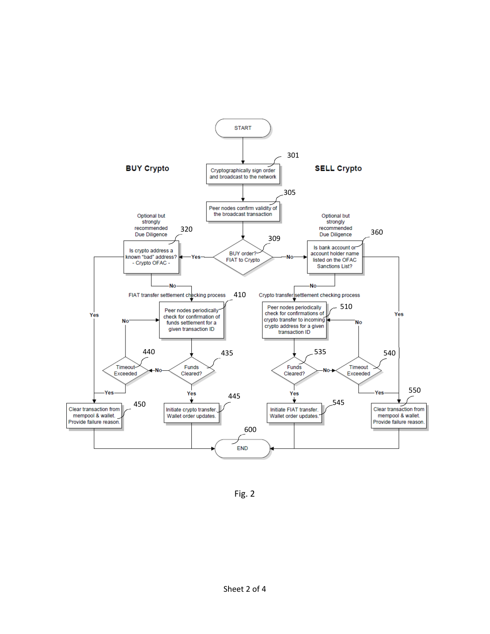

Fig. 2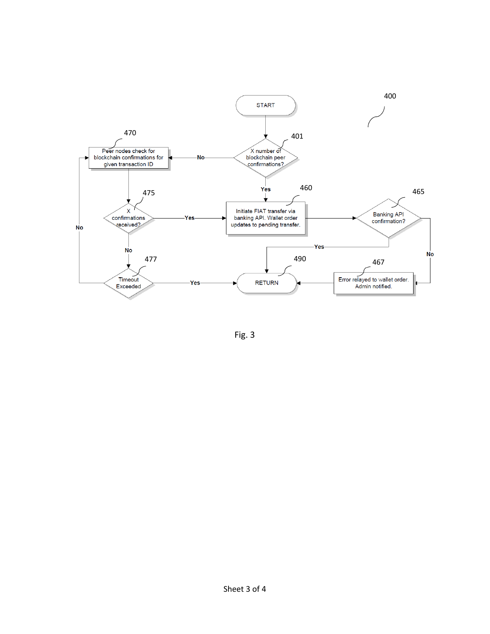

Fig. 3